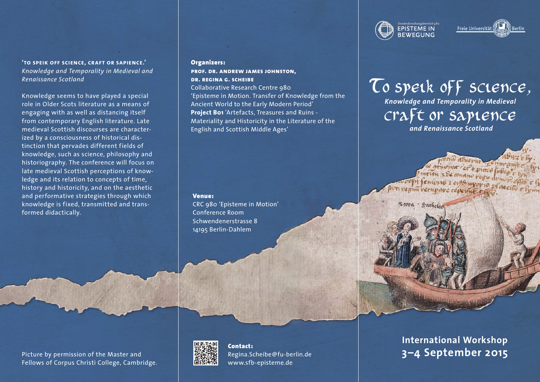**'to speik off science, craft or sapience.'** *Knowledge and Temporality in Medieval and Renaissance Scotland*

Knowledge seems to have played a special role in Older Scots literature as a means of engaging with as well as distancing itself from contemporary English literature. Late medieval Scottish discourses are characterized by a consciousness of historical distinction that pervades different fields of knowledge, such as science, philosophy and historiography. The conference will focus on late medieval Scottish perceptions of knowledge and its relation to concepts of time, history and historicity, and on the aesthetic and performative strategies through which knowledge is fixed, transmitted and transformed didactically.

## Organizers:

**prof. dr. andrew james johnston, dr. regina g. scheibe** Collaborative Research Centre 980 'Episteme in Motion. Transfer of Knowledge from the Ancient World to the Early Modern Period' **Project B01** 'Artefacts, Treasures and Ruins - Materiality and Historicity in the Literature of the English and Scottish Middle Ages'

#### Venue:

CRC 980 'Episteme in Motion' Conference Room Schwendenerstrasse 8 14195 Berlin-Dahlem

Picture by permission of the Master and Fellows of Corpus Christi College, Cambridge.



Contact: Regina.Scheibe@fu-berlin.de www.sfb-episteme.de

**International Workshop 3–4 September 2015**





# To speik off science, craft or sapience *Knowledge and Temporality in Medieval*

 *and Renaissance Scotland*

Suthelad Score